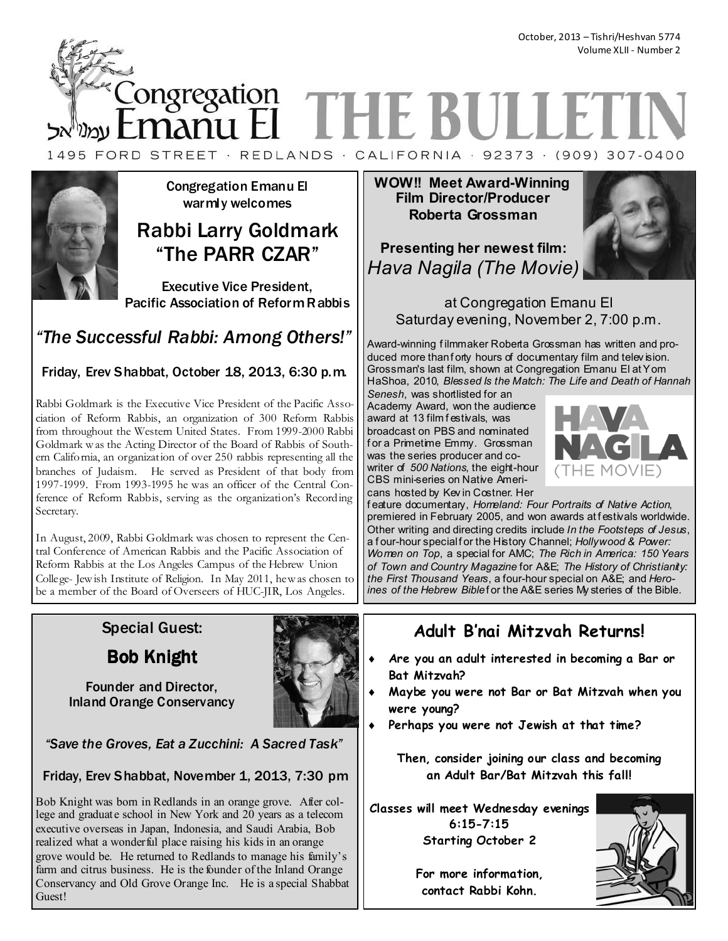October, 2013 – Tishri/Heshvan 5774 Volume XLII - Number 2

*c*ongregation **THE BULL** manu El 1495 FORD STREET · REDLANDS · CALIFORNIA · 92373 · (909) 307-0400



Congregation Emanu El warmly welcomes

# Rabbi Larry Goldmark "The PARR CZAR"

Executive Vice President, Pacific Association of Reform Rabbis

# *"The Successful Rabbi: Among Others!"*

# Friday, Erev Shabbat, October 18, 2013, 6:30 p.m.

Rabbi Goldmark is the Executive Vice President of the Pacific Association of Reform Rabbis, an organization of 300 Reform Rabbis from throughout the Western United States. From 1999-2000 Rabbi Goldmark w as the Acting Director of the Board of Rabbis of Southern California, an organization of over 250 rabbis representing all the branches of Judaism. He served as President of that body from 1997-1999. From 1993-1995 he was an officer of the Central Conference of Reform Rabbis, serving as the organization's Recording Secretary.

In August, 2009, Rabbi Goldmark was chosen to represent the Central Conference of American Rabbis and the Pacific Association of Reform Rabbis at the Los Angeles Campus of the Hebrew Union College- Jew ish Institute of Religion. In May 2011, he w as chosen to be a member of the Board of Overseers of HUC-JIR, Los Angeles.

# Special Guest:

# Bob Knight

Founder and Director, Inland Orange Conservancy



*"Save the Groves, Eat a Zucchini: A Sacred Task"* 

Friday, Erev Shabbat, November 1, 2013, 7:30 pm

Bob Knight was born in Redlands in an orange grove. After college and graduate school in New York and 20 years as a telecom executive overseas in Japan, Indonesia, and Saudi Arabia, Bob realized what a wonderful place raising his kids in an orange grove would be. He returned to Redlands to manage his family's farm and citrus business. He is the founder of the Inland Orange Conservancy and Old Grove Orange Inc. He is a special Shabbat Guest!

**WOW!! Meet Award-Winning Film Director/Producer Roberta Grossman** 

**Presenting her newest film:**  *Hava Nagila (The Movie)* 



at Congregation Emanu El Saturday evening, November 2, 7:00 p.m.

Award-winning f ilmmaker Roberta Grossman has written and produced more than forty hours of documentary film and telev ision. Grossman's last film, shown at Congregation Emanu El at Yom HaShoa, 2010, *Blessed Is the Match: The Life and Death of Hannah* 

*Senesh*, was shortlisted for an Academy Award, won the audience award at 13 film f estivals, was broadcast on PBS and nominated for a Primetime Emmy. Grossman was the series producer and cowriter of *500 Nations*, the eight-hour CBS mini-series on Native Americans hosted by Kev in Costner. Her



f eature documentary, *Homeland: Four Portraits of Native Action*, premiered in February 2005, and won awards at festivals worldwide. Other writing and directing credits include *In the Footsteps of Jesus*, a f our-hour special f or the History Channel; *Hollywood & Power: Women on Top*, a special for AMC; *The Rich in America: 150 Years of Town and Country Magazine* for A&E; *The History of Christianity: the First Thousand Years*, a four-hour special on A&E; and *Hero*ines of the Hebrew Biblef or the A&E series My steries of the Bible.

# **Adult B'nai Mitzvah Returns!**

- Are you an adult interested in becoming a Bar or **Bat Mitzvah?**
- ♦ **Maybe you were not Bar or Bat Mitzvah when you were young?**
- Perhaps you were not Jewish at that time?

**Then, consider joining our class and becoming an Adult Bar/Bat Mitzvah this fall!** 

**Classes will meet Wednesday evenings 6:15-7:15 Starting October 2** 

> **For more information, contact Rabbi Kohn.**

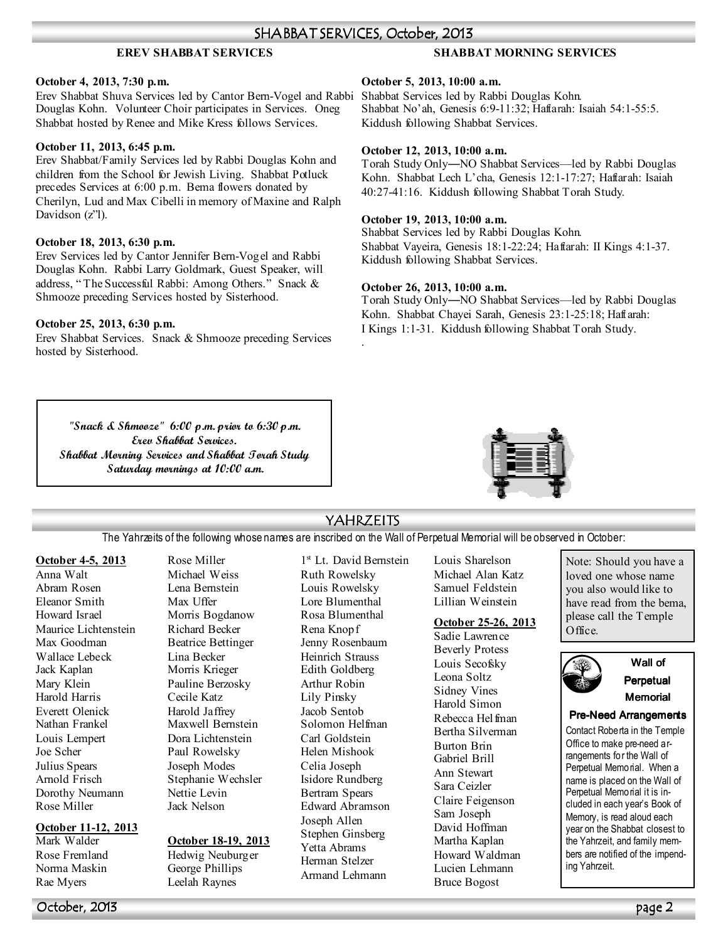**October 5, 2013, 10:00 a.m.** 

**October 12, 2013, 10:00 a.m.** 

**October 19, 2013, 10:00 a.m.** 

**October 26, 2013, 10:00 a.m.** 

Kiddush following Shabbat Services.

Kiddush following Shabbat Services.

### **EREV SHABBAT SERVICES**

### **SHABBAT MORNING SERVICES**

Shabbat No'ah, Genesis 6:9-11:32; Haftarah: Isaiah 54:1-55:5.

Torah Study Only—NO Shabbat Services—led by Rabbi Douglas Kohn. Shabbat Lech L'cha, Genesis 12:1-17:27; Haftarah: Isaiah

Shabbat Vayeira, Genesis 18:1-22:24; Haftarah: II Kings 4:1-37.

Torah Study Only—NO Shabbat Services—led by Rabbi Douglas Kohn. Shabbat Chayei Sarah, Genesis 23:1-25:18; Haftarah: I Kings 1:1-31. Kiddush following Shabbat Torah Study.

40:27-41:16. Kiddush following Shabbat Torah Study.

Shabbat Services led by Rabbi Douglas Kohn.

#### **October 4, 2013, 7:30 p.m.**

Erev Shabbat Shuva Services led by Cantor Bern-Vogel and Rabbi Shabbat Services led by Rabbi Douglas Kohn. Douglas Kohn. Volunteer Choir participates in Services. Oneg Shabbat hosted by Renee and Mike Kress follows Services.

#### **October 11, 2013, 6:45 p.m.**

Erev Shabbat/Family Services led by Rabbi Douglas Kohn and children from the School for Jewish Living. Shabbat Potluck precedes Services at 6:00 p.m. Bema flowers donated by Cherilyn, Lud and Max Cibelli in memory of Maxine and Ralph Davidson  $(z<sup>7</sup>)$ .

#### **October 18, 2013, 6:30 p.m.**

Erev Services led by Cantor Jennifer Bern-Vogel and Rabbi Douglas Kohn. Rabbi Larry Goldmark, Guest Speaker, will address, " The Successful Rabbi: Among Others." Snack & Shmooze preceding Services hosted by Sisterhood.

#### **October 25, 2013, 6:30 p.m.**

Erev Shabbat Services. Snack & Shmooze preceding Services hosted by Sisterhood.

**"Snack & Shmooze" 6:00 p.m. prior to 6:30 p.m. Erev Shabbat Services. Shabbat Morning Services and Shabbat Torah Study Saturday mornings at 10:00 a.m.** 



# YAHRZEITS

.

The Yahrzeits of the following whose names are inscribed on the Wall of Perpetual Memorial will be observed in October:

#### **October 4-5, 2013**

Anna Walt Abram Rosen Eleanor Smith Howard Israel Maurice Lichtenstein Max Goodman Wallace Lebeck Jack Kaplan Mary Klein Harold Harris Everett Olenick Nathan Frankel Louis Lempert Joe Scher Julius Spears Arnold Frisch Dorothy Neumann Rose Miller

#### **October 11-12, 2013**

Mark Walder Rose Fremland Norma Maskin Rae Myers

Rose Miller Michael Weiss Lena Bernstein Max Uffer Morris Bogdanow Richard Becker Beatrice Bettinger Lina Becker Morris Krieger Pauline Berzosky Cecile Katz Harold Jaffrey Maxwell Bernstein Dora Lichtenstein Paul Rowelsky Joseph Modes Stephanie Wechsler Nettie Levin Jack Nelson

#### **October 18-19, 2013** Hedwig Neuburger

George Phillips Leelah Raynes

1<sup>st</sup> Lt. David Bernstein Ruth Rowelsky Louis Rowelsky Lore Blumenthal Rosa Blumenthal Rena Knopf Jenny Rosenbaum Heinrich Strauss Edith Goldberg Arthur Robin Lily Pinsky Jacob Sentob Solomon Helfman Carl Goldstein Helen Mishook Celia Joseph Isidore Rundberg Bertram Spears Edward Abramson Joseph Allen Stephen Ginsberg Yetta Abrams Herman Stelzer Armand Lehmann

Louis Sharelson Michael Alan Katz Samuel Feldstein Lillian Weinstein

#### **October 25-26, 2013**

Sadie Lawrence Beverly Protess Louis Secofsky Leona Soltz Sidney Vines Harold Simon Rebecca Helfman Bertha Silverman Burton Brin Gabriel Brill Ann Stewart Sara Ceizler Claire Feigenson Sam Joseph David Hoffman Martha Kaplan Howard Waldman Lucien Lehmann Bruce Bogost

Note: Should you have a loved one whose name you also would like to have read from the bema. please call the Temple Office.



# Perpetual **Memorial**

Wall of

#### Pre-Need Arrangements

Contact Roberta in the Temple Office to make pre-need arrangements for the Wall of Perpetual Memorial. When a name is placed on the Wall of Perpetual Memorial it is included in each year's Book of Memory, is read aloud each year on the Shabbat closest to the Yahrzeit, and family members are notified of the impending Yahrzeit.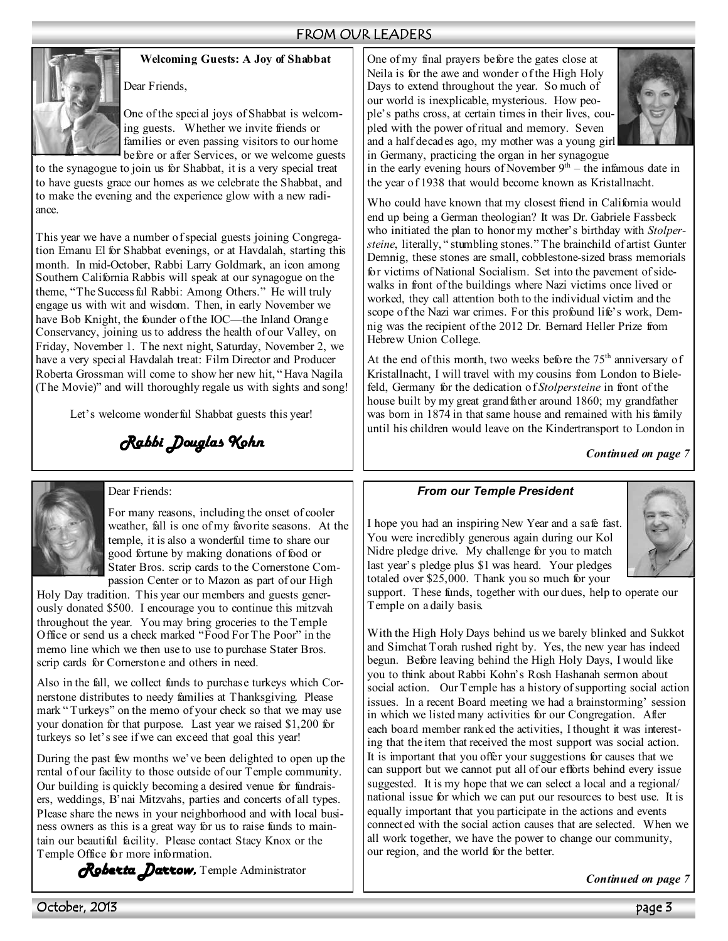# FROM OUR LEADERS



## **Welcoming Guests: A Joy of Shabbat**

Dear Friends,

One of the special joys of Shabbat is welcoming guests. Whether we invite friends or families or even passing visitors to our home before or after Services, or we welcome guests

to the synagogue to join us for Shabbat, it is a very special treat to have guests grace our homes as we celebrate the Shabbat, and to make the evening and the experience glow with a new radiance.

This year we have a number of special guests joining Congregation Emanu El for Shabbat evenings, or at Havdalah, starting this month. In mid-October, Rabbi Larry Goldmark, an icon among Southern California Rabbis will speak at our synagogue on the theme, "The Successful Rabbi: Among Others." He will truly engage us with wit and wisdom. Then, in early November we have Bob Knight, the founder of the IOC—the Inland Orange Conservancy, joining us to address the health of our Valley, on Friday, November 1. The next night, Saturday, November 2, we have a very special Havdalah treat: Film Director and Producer Roberta Grossman will come to show her new hit, " Hava Nagila (The Movie)" and will thoroughly regale us with sights and song!

Let's welcome wonderful Shabbat guests this year!

*Rabbi Douglas Kohn* 



#### Dear Friends:

For many reasons, including the onset of cooler weather, fall is one of my favorite seasons. At the temple, it is also a wonderful time to share our good fortune by making donations of food or Stater Bros. scrip cards to the Cornerstone Compassion Center or to Mazon as part of our High

Holy Day tradition. This year our members and guests generously donated \$500. I encourage you to continue this mitzvah throughout the year. You may bring groceries to the Temple Office or send us a check marked "Food For The Poor" in the memo line which we then use to use to purchase Stater Bros. scrip cards for Cornerstone and others in need.

Also in the fall, we collect funds to purchase turkeys which Cornerstone distributes to needy families at Thanksgiving. Please mark " Turkeys" on the memo of your check so that we may use your donation for that purpose. Last year we raised \$1,200 for turkeys so let's see if we can exceed that goal this year!

During the past few months we've been delighted to open up the rental of our facility to those outside of our Temple community. Our building is quickly becoming a desired venue for fundraisers, weddings, B'nai Mitzvahs, parties and concerts of all types. Please share the news in your neighborhood and with local business owners as this is a great way for us to raise funds to maintain our beautiful facility. Please contact Stacy Knox or the Temple Office for more information.

*Roberta Darrow, Roberta Darrow* Temple Administrator

One of my final prayers before the gates close at Neila is for the awe and wonder of the High Holy Days to extend throughout the year. So much of our world is inexplicable, mysterious. How people's paths cross, at certain times in their lives, coupled with the power of ritual and memory. Seven and a half decades ago, my mother was a young girl in Germany, practicing the organ in her synagogue



in the early evening hours of November  $9<sup>th</sup>$  – the infamous date in the year of 1938 that would become known as Kristallnacht.

Who could have known that my closest friend in California would end up being a German theologian? It was Dr. Gabriele Fassbeck who initiated the plan to honor my mother's birthday with *Stolpersteine*, literally, " stumbling stones." The brainchild of artist Gunter Demnig, these stones are small, cobblestone-sized brass memorials for victims of National Socialism. Set into the pavement of sidewalks in front of the buildings where Nazi victims once lived or worked, they call attention both to the individual victim and the scope of the Nazi war crimes. For this profound life's work, Demnig was the recipient of the 2012 Dr. Bernard Heller Prize from Hebrew Union College.

At the end of this month, two weeks before the  $75<sup>th</sup>$  anniversary of Kristallnacht, I will travel with my cousins from London to Bielefeld, Germany for the dedication of *Stolpersteine* in front of the house built by my great grand father around 1860; my grandfather was born in 1874 in that same house and remained with his family until his children would leave on the Kindertransport to London in

*Continued on page 7* 

#### *From our Temple President*

I hope you had an inspiring New Year and a safe fast. You were incredibly generous again during our Kol Nidre pledge drive. My challenge for you to match last year's pledge plus \$1 was heard. Your pledges totaled over \$25,000. Thank you so much for your



support. These funds, together with our dues, help to operate our Temple on a daily basis.

With the High Holy Days behind us we barely blinked and Sukkot and Simchat Torah rushed right by. Yes, the new year has indeed begun. Before leaving behind the High Holy Days, I would like you to think about Rabbi Kohn's Rosh Hashanah sermon about social action. Our Temple has a history of supporting social action issues. In a recent Board meeting we had a brainstorming' session in which we listed many activities for our Congregation. After each board member ranked the activities, I thought it was interesting that the item that received the most support was social action. It is important that you offer your suggestions for causes that we can support but we cannot put all of our efforts behind every issue suggested. It is my hope that we can select a local and a regional/ national issue for which we can put our resources to best use. It is equally important that you participate in the actions and events connected with the social action causes that are selected. When we all work together, we have the power to change our community, our region, and the world for the better.

*Continued on page 7*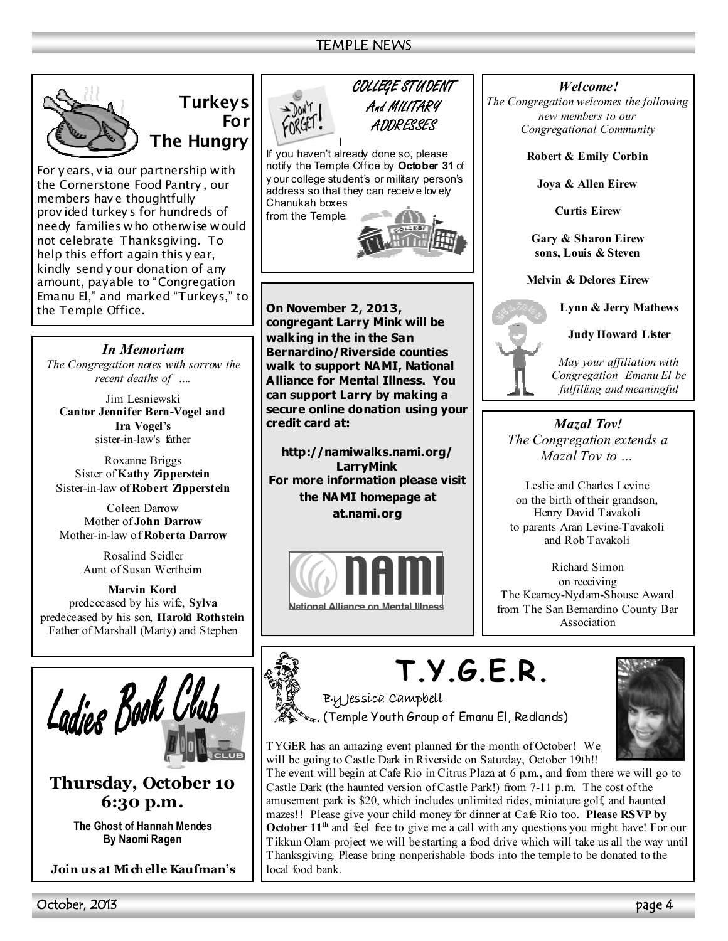# TEMPLE NEWS



# **Turkeys For The Hungry**

For y ears, v ia our partnership with the Cornerstone Food Pantry , our members hav e thoughtfully prov ided turkey s for hundreds of needy families who otherwise would not celebrate Thanksgiving. To help this effort again this y ear, kindly send y our donation of any amount, payable to "Congregation Emanu El," and marked "Turkeys," to the Temple Office.

*In Memoriam The Congregation notes with sorrow the recent deaths of ….* 

Jim Lesniewski **Cantor Jennifer Bern-Vogel and Ira Vogel's**  sister-in-law's father

Roxanne Briggs Sister of **Kathy Zipperstein**  Sister-in-law of **Robert Zipperstein**

Coleen Darrow Mother of **John Darrow** Mother-in-law of **Roberta Darrow**

> Rosalind Seidler Aunt of Susan Wertheim

**Marvin Kord**  predeceased by his wife, **Sylva** predeceased by his son, **Harold Rothstein** Father of Marshall (Marty) and Stephen



**Thursday, October 10 6:30 p.m.** 

> **The Ghost of Hannah Mendes By Naomi Ragen**

**Join us at Mi chelle Kaufman's** 



# COLLEGE STUDENT And MILITARY **ADDRESSES**

If you haven't already done so, please notify the Temple Office by **October 31** of y our college student's or military person's address so that they can receiv e lov ely Chanukah boxes from the Temple.



**On November 2, 2013, congregant Larry Mink will be walking in the in the San Bernardino/Riverside counties walk to support NAMI, National Alliance for Mental Illness. You can support Larry by making a secure online donation using your credit card at:** 

**http://namiwalks.nami.org/ LarryMink For more information please visit the NAMI homepage at at.nami.org**



# *Welcome!*

*The Congregation welcomes the following new members to our Congregational Community* 

**Robert & Emily Corbin** 

**Joya & Allen Eirew** 

**Curtis Eirew** 

**Gary & Sharon Eirew sons, Louis & Steven** 

**Melvin & Delores Eirew** 

**Lynn & Jerry Mathews** 

**Judy Howard Lister** 



*May your affiliation with Congregation Emanu El be fulfilling and meaningful*

*Mazal Tov! The Congregation extends a Mazal Tov to …* 

Leslie and Charles Levine on the birth of their grandson, Henry David Tavakoli to parents Aran Levine-Tavakoli and Rob Tavakoli

Richard Simon on receiving The Kearney-Nydam-Shouse Award from The San Bernardino County Bar Association

# **T.Y.G.E.R.**



(Temple Youth Group of Emanu El, Redlands)

TYGER has an amazing event planned for the month of October! We will be going to Castle Dark in Riverside on Saturday, October 19th!!

The event will begin at Cafe Rio in Citrus Plaza at 6 p.m., and from there we will go to Castle Dark (the haunted version of Castle Park!) from 7-11 p.m. The cost of the amusement park is \$20, which includes unlimited rides, miniature golf, and haunted mazes!! Please give your child money for dinner at Cafe Rio too. **Please RSVP by October 11<sup>th</sup>** and feel free to give me a call with any questions you might have! For our Tikkun Olam project we will be starting a food drive which will take us all the way until Thanksgiving. Please bring nonperishable foods into the temple to be donated to the local food bank.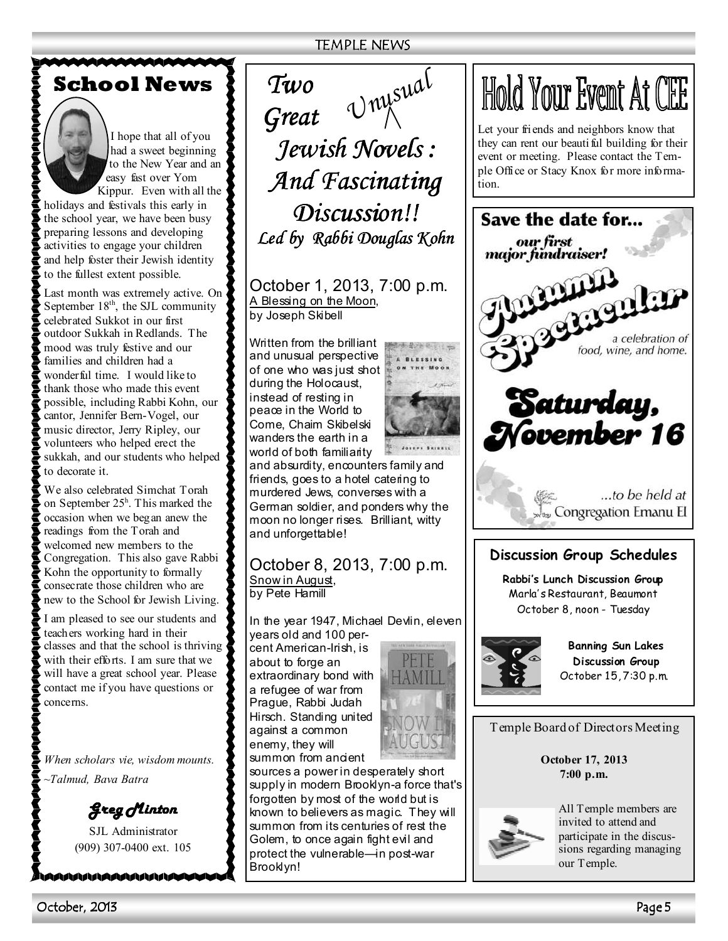**School News**

I hope that all of you had a sweet beginning to the New Year and an easy fast over Yom Kippur. Even with all the

holidays and festivals this early in the school year, we have been busy preparing lessons and developing activities to engage your children and help foster their Jewish identity to the fullest extent possible.

Last month was extremely active. On September  $18<sup>th</sup>$ , the SJL community celebrated Sukkot in our first outdoor Sukkah in Redlands. The mood was truly festive and our families and children had a wonderful time. I would like to thank those who made this event possible, including Rabbi Kohn, our cantor, Jennifer Bern-Vogel, our music director, Jerry Ripley, our volunteers who helped erect the sukkah, and our students who helped to decorate it.

We also celebrated Simchat Torah on September 25<sup>h</sup> . This marked the occasion when we began anew the readings from the Torah and welcomed new members to the Congregation. This also gave Rabbi Kohn the opportunity to formally consecrate those children who are new to the School for Jewish Living.

I am pleased to see our students and teachers working hard in their classes and that the school is thriving with their efforts. I am sure that we will have a great school year. Please contact me if you have questions or concerns.

*When scholars vie, wisdom mounts. ~Talmud, Bava Batra* 

*Greg Minton Greg Minton* 

SJL Administrator (909) 307-0400 ext. 105

WAAAAAAAAAAAWW

*Two Great Jewish Novels : Jewish Novels : And Fascinating And Fascinating Discussion!! Discussion!!*  Led by Rabbi Douglas Kohn *Unusual*

October 1, 2013, 7:00 p.m. A Blessing on the Moon, by Joseph Skibell

Written from the brilliant and unusual perspective of one who was just shot during the Holocaust, instead of resting in peace in the World to Come, Chaim Skibelski wanders the earth in a world of both familiarity



## October 8, 2013, 7:00 p.m. Snow in August, by Pete Hamill

In the year 1947, Michael Devlin, eleven years old and 100 per-

cent American-Irish, is about to forge an extraordinary bond with a refugee of war from Prague, Rabbi Judah Hirsch. Standing united against a common enemy, they will summon from ancient



sources a power in desperately short supply in modern Brooklyn-a force that's forgotten by most of the world but is known to believers as magic. They will summon from its centuries of rest the Golem, to once again fight evil and protect the vulnerable—in post-war Brooklyn!

# Hold Your Event At CEE

Let your friends and neighbors know that they can rent our beautiful building for their event or meeting. Please contact the Temple Office or Stacy Knox for more information.





All Temple members are invited to attend and participate in the discussions regarding managing our Temple.

October, 2013 Page 5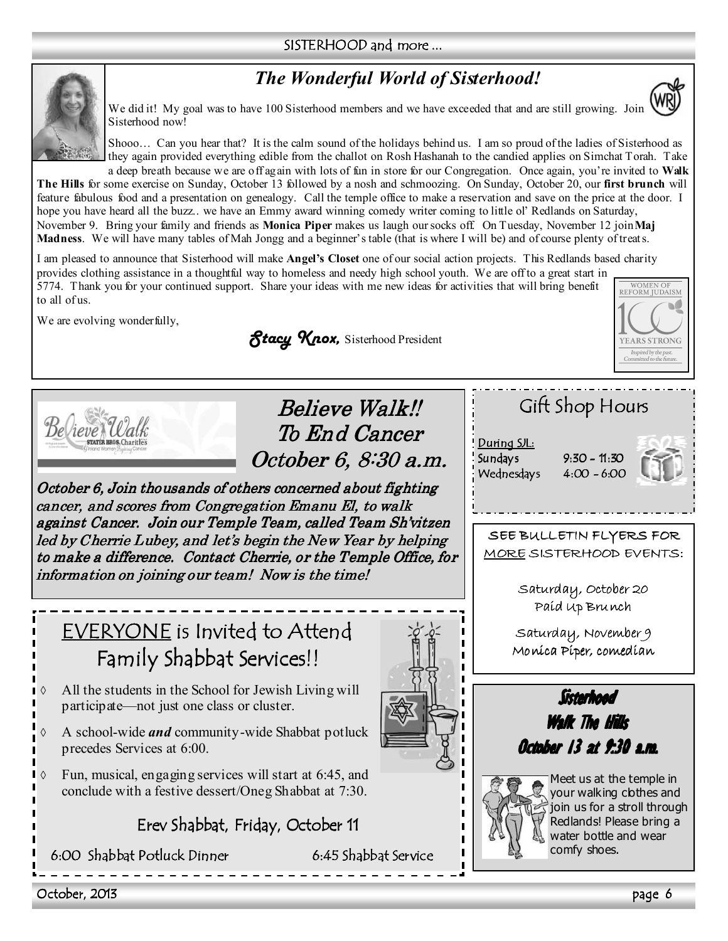# SISTERHOOD and more ...

# *The Wonderful World of Sisterhood!*



We did it! My goal was to have 100 Sisterhood members and we have exceeded that and are still growing. Join Sisterhood now!

Shooo… Can you hear that? It is the calm sound of the holidays behind us. I am so proud of the ladies of Sisterhood as they again provided everything edible from the challot on Rosh Hashanah to the candied applies on Simchat Torah. Take a deep breath because we are off again with lots of fun in store for our Congregation. Once again, you're invited to **Walk** 

**The Hills** for some exercise on Sunday, October 13 followed by a nosh and schmoozing. On Sunday, October 20, our **first brunch** will feature fabulous food and a presentation on genealogy. Call the temple office to make a reservation and save on the price at the door. I hope you have heard all the buzz.. we have an Emmy award winning comedy writer coming to little ol' Redlands on Saturday, November 9. Bring your family and friends as **Monica Piper** makes us laugh our socks off. On Tuesday, November 12 join **Maj Madness**. We will have many tables of Mah Jongg and a beginner's table (that is where I will be) and of course plenty of treats.

I am pleased to announce that Sisterhood will make **Angel's Closet** one of our social action projects. This Redlands based charity provides clothing assistance in a thoughtful way to homeless and needy high school youth. We are off to a great start in 5774. Thank you for your continued support. Share your ideas with me new ideas for activities that will bring benefit to all of us.

We are evolving wonderfully,

*Stacy Knox,* Sisterhood President



Believe Walk!! To End Cancer October 6, 8:30 a.m.

October 6, Join thousands of others concerned about fighting cancer, and scores from Congregation Emanu El, to walk against Cancer. Join our Temple Team, called Team Sh'vitzen led by Cherrie Lubey, and let's begin the New Year by helping to make a difference. Contact Cherrie, or the Temple Office, for information on joining our team! Now is the time!

# EVERYONE is Invited to Attend Family Shabbat Services!!



◊ A school-wide *and* community-wide Shabbat potluck precedes Services at 6:00.

Fun, musical, engaging services will start at 6:45, and conclude with a festive dessert/Oneg Shabbat at 7:30.

Erev Shabbat, Friday, October 11

6:00 Shabbat Potluck Dinner 6:45 Shabbat Service



**YEARS STRONG** Inspired by the past.<br>Committed to the future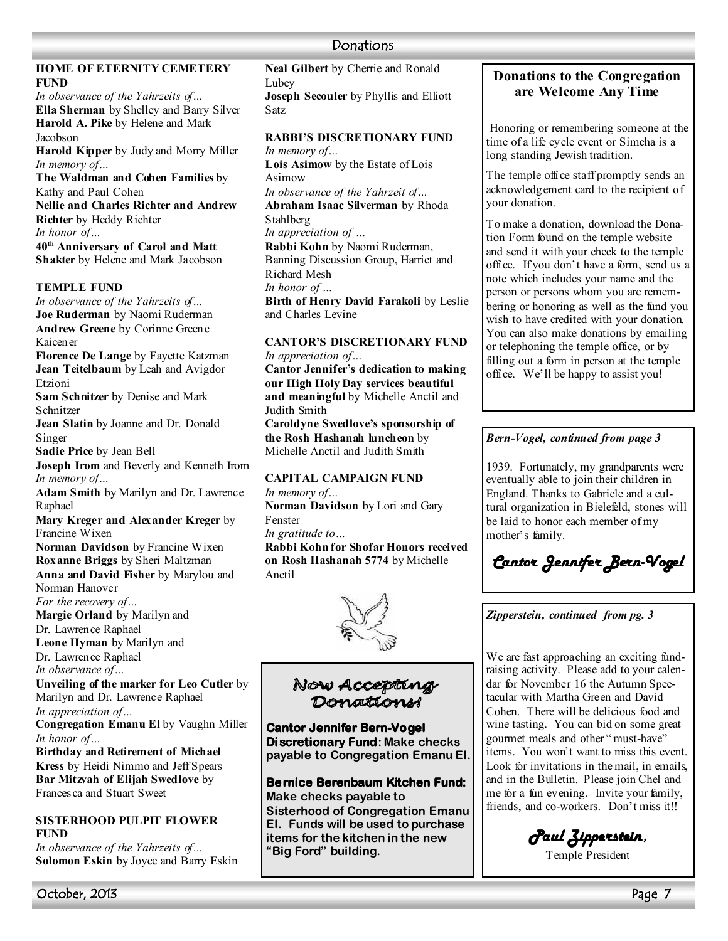# **HOME OF ETERNITY CEMETERY FUND**

*In observance of the Yahrzeits of…*  **Ella Sherman** by Shelley and Barry Silver **Harold A. Pike** by Helene and Mark Jacobson **Harold Kipper** by Judy and Morry Miller

*In memory of…* 

**The Waldman and Cohen Families** by Kathy and Paul Cohen

**Nellie and Charles Richter and Andrew Richter** by Heddy Richter *In honor of…* 

**40th Anniversary of Carol and Matt Shakter** by Helene and Mark Jacobson

# **TEMPLE FUND**

*In observance of the Yahrzeits of…*  **Joe Ruderman** by Naomi Ruderman **Andrew Greene** by Corinne Greene Kaicener **Florence De Lange** by Fayette Katzman **Jean Teitelbaum** by Leah and Avigdor Etzioni **Sam Schnitzer** by Denise and Mark Schnitzer **Jean Slatin** by Joanne and Dr. Donald Singer **Sadie Price** by Jean Bell **Joseph Irom** and Beverly and Kenneth Irom *In memory of…*  **Adam Smith** by Marilyn and Dr. Lawrence Raphael **Mary Kreger and Alexander Kreger** by Francine Wixen **Norman Davidson** by Francine Wixen **Roxanne Briggs** by Sheri Maltzman **Anna and David Fisher** by Marylou and Norman Hanover *For the recovery of…*  **Margie Orland** by Marilyn and Dr. Lawrence Raphael **Leone Hyman** by Marilyn and Dr. Lawrence Raphael *In observance of…*  **Unveiling of the marker for Leo Cutler** by Marilyn and Dr. Lawrence Raphael *In appreciation of…*  **Congregation Emanu El** by Vaughn Miller *In honor of…*  **Birthday and Retirement of Michael Kress** by Heidi Nimmo and Jeff Spears **Bar Mitzvah of Elijah Swedlove** by Francesca and Stuart Sweet

## **SISTERHOOD PULPIT FLOWER FUND**

*In observance of the Yahrzeits of…* **Solomon Eskin** by Joyce and Barry Eskin **Neal Gilbert** by Cherrie and Ronald **Lubey Joseph Secouler** by Phyllis and Elliott Satz

#### **RABBI'S DISCRETIONARY FUND** *In memory of…*

**Lois Asimow** by the Estate of Lois Asimow

*In observance of the Yahrzeit of…*  **Abraham Isaac Silverman** by Rhoda

Stahlberg *In appreciation of …* 

**Rabbi Kohn** by Naomi Ruderman, Banning Discussion Group, Harriet and Richard Mesh *In honor of …* 

**Birth of Henry David Farakoli** by Leslie and Charles Levine

## **CANTOR'S DISCRETIONARY FUND** *In appreciation of…*

**Cantor Jennifer's dedication to making our High Holy Day services beautiful and meaningful** by Michelle Anctil and Judith Smith

**Caroldyne Swedlove's sponsorship of the Rosh Hashanah luncheon** by Michelle Anctil and Judith Smith

# **CAPITAL CAMPAIGN FUND**

*In memory of…*  **Norman Davidson** by Lori and Gary Fenster

*In gratitude to…* 

**Rabbi Kohn for Shofar Honors received on Rosh Hashanah 5774** by Michelle Anctil



# Now Accepting<br>Donations

**Cantor Jennifer Bern- Cantor Jennifer Bern-Vogel Discretionary Fund: Make checks payable to Congregation Emanu El.** 

**Bernice Berenbaum Kitchen Fund: Make checks payable to Sisterhood of Congregation Emanu El. Funds will be used to purchase items for the kitchen in the new "Big Ford" building.**

# **Donations to the Congregation are Welcome Any Time**

 Honoring or remembering someone at the time of a life cycle event or Simcha is a long standing Jewish tradition.

The temple office staff promptly sends an acknowledgement card to the recipient of your donation.

To make a donation, download the Donation Form found on the temple website and send it with your check to the temple office. If you don't have a form, send us a note which includes your name and the person or persons whom you are remembering or honoring as well as the fund you wish to have credited with your donation. You can also make donations by emailing or telephoning the temple office, or by filling out a form in person at the temple office. We'll be happy to assist you!

# *Bern-Vogel, continued from page 3*

1939. Fortunately, my grandparents were eventually able to join their children in England. Thanks to Gabriele and a cultural organization in Bielefeld, stones will be laid to honor each member of my mother's family.

*Cantor Jennifer Bern- Cantor Jennifer Bern-Vogel*

*Zipperstein, continued from pg. 3* 

We are fast approaching an exciting fundraising activity. Please add to your calendar for November 16 the Autumn Spectacular with Martha Green and David Cohen. There will be delicious food and wine tasting. You can bid on some great gourmet meals and other " must-have" items. You won't want to miss this event. Look for invitations in the mail, in emails, and in the Bulletin. Please join Chel and me for a fun evening. Invite your family, friends, and co-workers. Don't miss it!!

*Paul Zipperstein, Paul Zipperstein*

Temple President